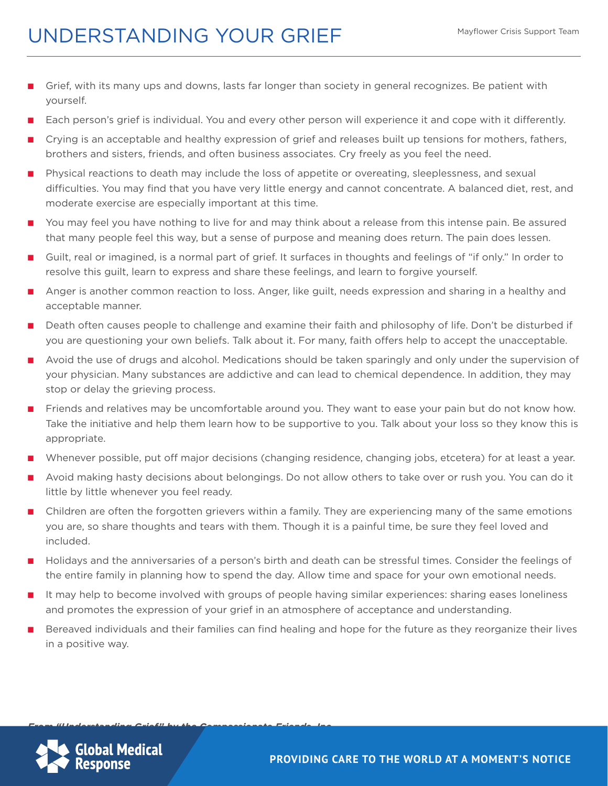## UNDERSTANDING YOUR GRIEF

- Grief, with its many ups and downs, lasts far longer than society in general recognizes. Be patient with yourself.
- Each person's grief is individual. You and every other person will experience it and cope with it differently.
- Crying is an acceptable and healthy expression of grief and releases built up tensions for mothers, fathers, brothers and sisters, friends, and often business associates. Cry freely as you feel the need.
- Physical reactions to death may include the loss of appetite or overeating, sleeplessness, and sexual difficulties. You may find that you have very little energy and cannot concentrate. A balanced diet, rest, and moderate exercise are especially important at this time.
- You may feel you have nothing to live for and may think about a release from this intense pain. Be assured that many people feel this way, but a sense of purpose and meaning does return. The pain does lessen.
- Guilt, real or imagined, is a normal part of grief. It surfaces in thoughts and feelings of "if only." In order to resolve this guilt, learn to express and share these feelings, and learn to forgive yourself.
- Anger is another common reaction to loss. Anger, like guilt, needs expression and sharing in a healthy and acceptable manner.
- Death often causes people to challenge and examine their faith and philosophy of life. Don't be disturbed if you are questioning your own beliefs. Talk about it. For many, faith offers help to accept the unacceptable.
- Avoid the use of drugs and alcohol. Medications should be taken sparingly and only under the supervision of your physician. Many substances are addictive and can lead to chemical dependence. In addition, they may stop or delay the grieving process.
- Friends and relatives may be uncomfortable around you. They want to ease your pain but do not know how. Take the initiative and help them learn how to be supportive to you. Talk about your loss so they know this is appropriate.
- Whenever possible, put off major decisions (changing residence, changing jobs, etcetera) for at least a year.
- Avoid making hasty decisions about belongings. Do not allow others to take over or rush you. You can do it little by little whenever you feel ready.
- Children are often the forgotten grievers within a family. They are experiencing many of the same emotions you are, so share thoughts and tears with them. Though it is a painful time, be sure they feel loved and included.
- Holidays and the anniversaries of a person's birth and death can be stressful times. Consider the feelings of the entire family in planning how to spend the day. Allow time and space for your own emotional needs.
- It may help to become involved with groups of people having similar experiences: sharing eases loneliness and promotes the expression of your grief in an atmosphere of acceptance and understanding.
- Bereaved individuals and their families can find healing and hope for the future as they reorganize their lives in a positive way.



*From "Understanding Grief" by the Compassionate Friends, Inc.*